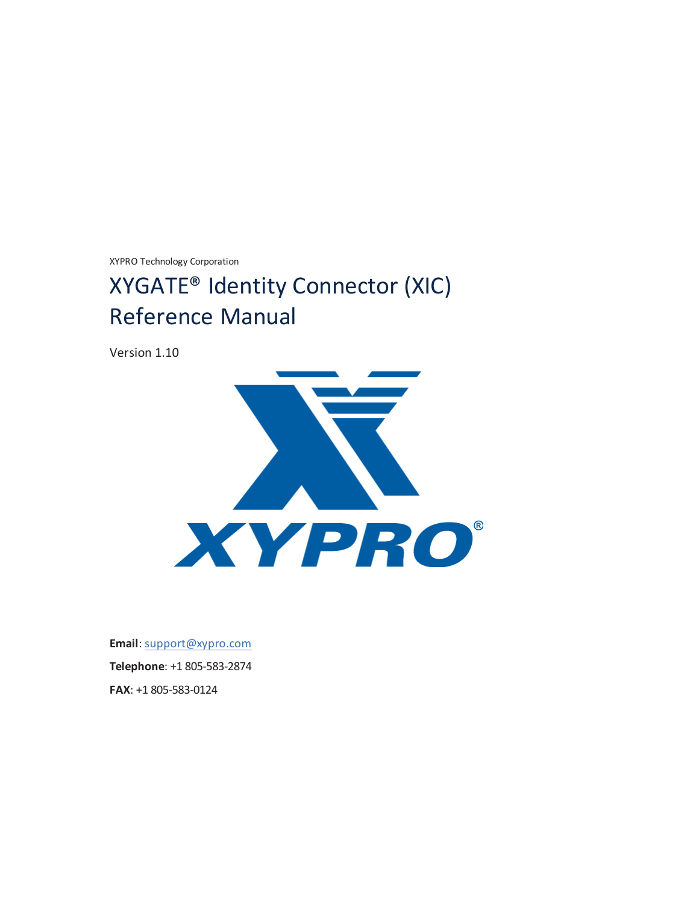XYPRO Technology Corporation

# XYGATE® Identity Connector (XIC) Reference Manual

Version 1.10



**Email**: [support@xypro.com](mailto:support@xypro.com) **Telephone**: +1 805-583-2874 **FAX**: +1 805-583-0124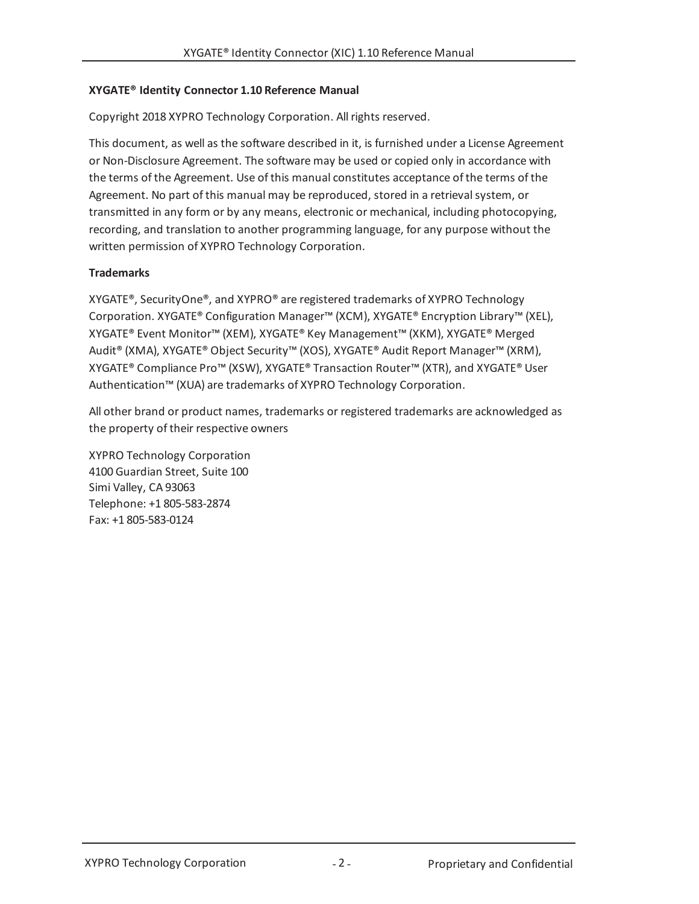### **XYGATE® Identity Connector 1.10 Reference Manual**

Copyright 2018 XYPRO Technology Corporation. All rights reserved.

This document, as well as the software described in it, is furnished under a License Agreement or Non-Disclosure Agreement. The software may be used or copied only in accordance with the terms of the Agreement. Use of this manual constitutes acceptance of the terms of the Agreement. No part of this manual may be reproduced, stored in a retrieval system, or transmitted in any form or by any means, electronic or mechanical, including photocopying, recording, and translation to another programming language, for any purpose without the written permission of XYPRO Technology Corporation.

## **Trademarks**

XYGATE®, SecurityOne®, and XYPRO® are registered trademarks of XYPRO Technology Corporation. XYGATE® Configuration Manager™ (XCM), XYGATE® Encryption Library™ (XEL), XYGATE® Event Monitor™ (XEM), XYGATE® Key Management™ (XKM), XYGATE® Merged Audit® (XMA), XYGATE® Object Security™ (XOS), XYGATE® Audit Report Manager™ (XRM), XYGATE® Compliance Pro™ (XSW), XYGATE® Transaction Router™ (XTR), and XYGATE® User Authentication™ (XUA) are trademarks of XYPRO Technology Corporation.

All other brand or product names, trademarks or registered trademarks are acknowledged as the property of their respective owners

XYPRO Technology Corporation 4100 Guardian Street, Suite 100 Simi Valley, CA 93063 Telephone: +1 805-583-2874 Fax: +1 805-583-0124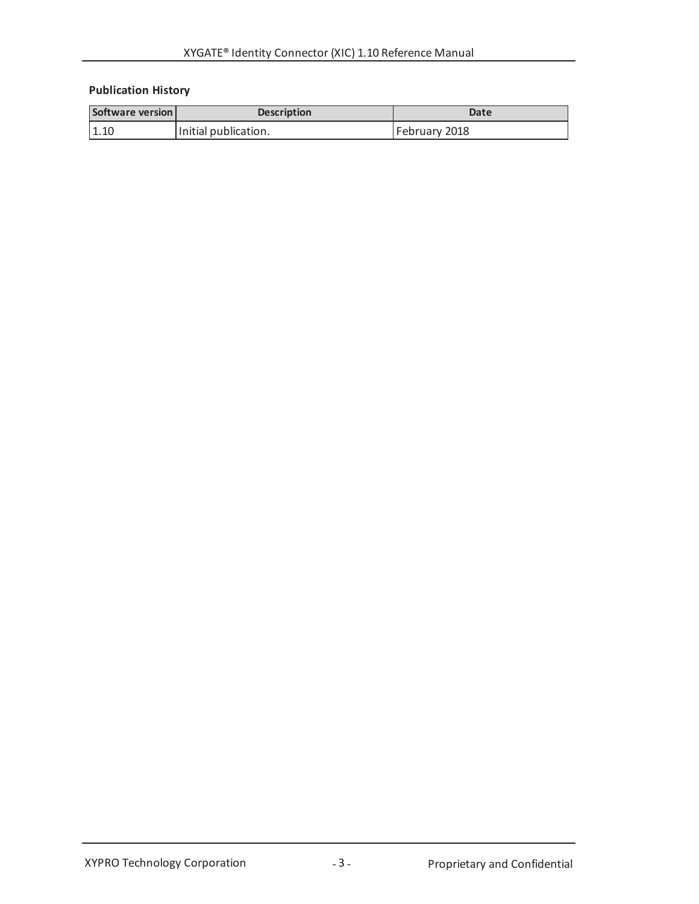# **Publication History**

| Software version | <b>Description</b>   | Date          |
|------------------|----------------------|---------------|
| 1.10             | Initial publication. | February 2018 |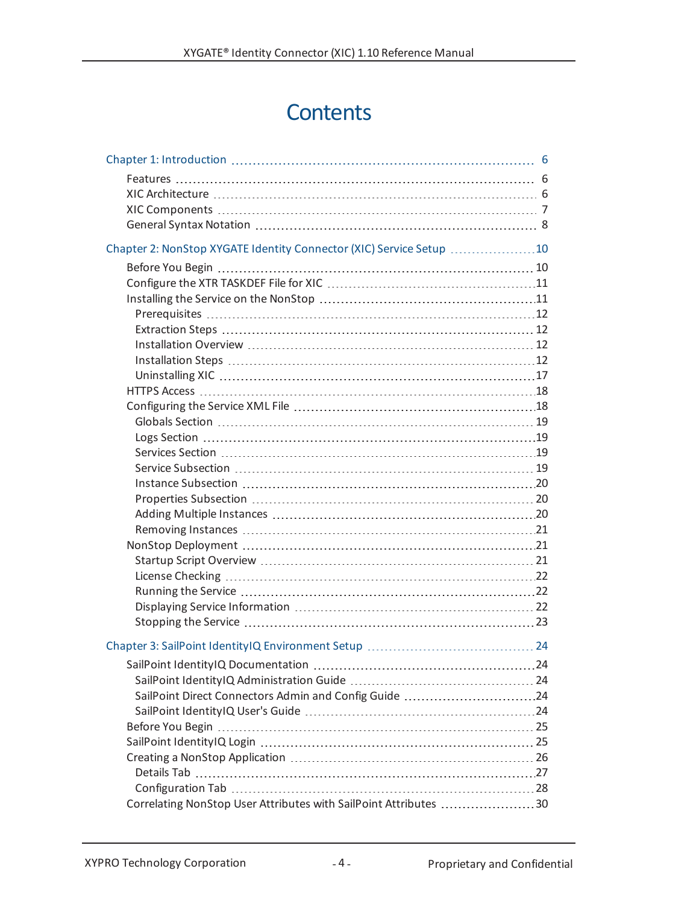# **Contents**

| Chapter 2: NonStop XYGATE Identity Connector (XIC) Service Setup 10 |  |
|---------------------------------------------------------------------|--|
|                                                                     |  |
|                                                                     |  |
|                                                                     |  |
|                                                                     |  |
|                                                                     |  |
|                                                                     |  |
|                                                                     |  |
|                                                                     |  |
|                                                                     |  |
|                                                                     |  |
|                                                                     |  |
|                                                                     |  |
|                                                                     |  |
|                                                                     |  |
|                                                                     |  |
|                                                                     |  |
|                                                                     |  |
|                                                                     |  |
|                                                                     |  |
|                                                                     |  |
|                                                                     |  |
|                                                                     |  |
|                                                                     |  |
|                                                                     |  |
|                                                                     |  |
|                                                                     |  |
|                                                                     |  |
| SailPoint Direct Connectors Admin and Config Guide 24               |  |
|                                                                     |  |
|                                                                     |  |
|                                                                     |  |
|                                                                     |  |
|                                                                     |  |
|                                                                     |  |
| Correlating NonStop User Attributes with SailPoint Attributes 30    |  |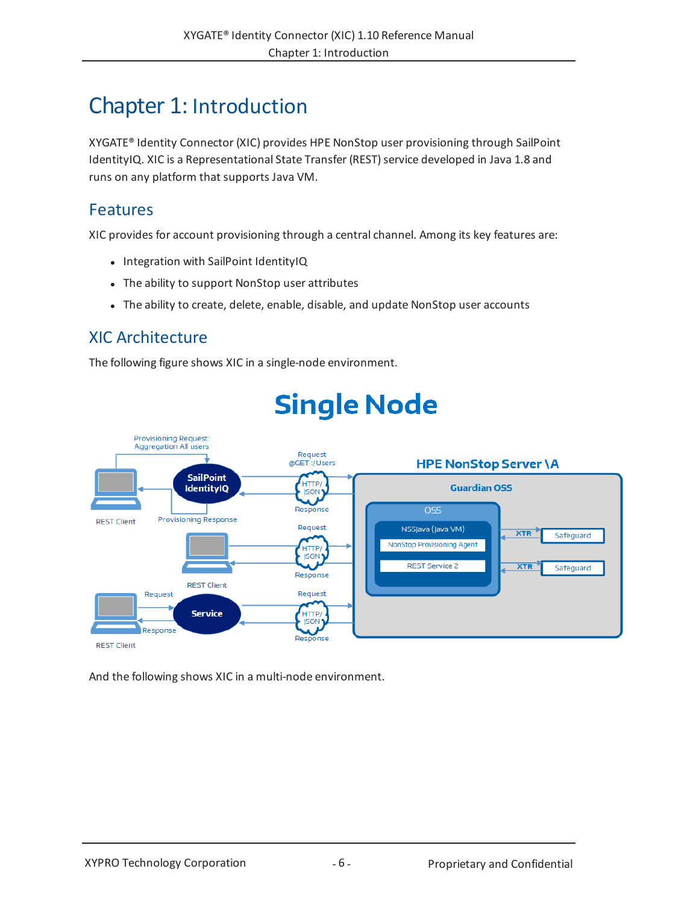# <span id="page-5-0"></span>Chapter 1: Introduction

XYGATE® Identity Connector (XIC) provides HPE NonStop user provisioning through SailPoint IdentityIQ. XIC is a Representational State Transfer (REST) service developed in Java 1.8 and runs on any platform that supports Java VM.

# <span id="page-5-1"></span>Features

XIC provides for account provisioning through a central channel. Among its key features are:

- Integration with SailPoint IdentityIQ
- The ability to support NonStop user attributes
- The ability to create, delete, enable, disable, and update NonStop user accounts

# <span id="page-5-2"></span>XIC Architecture

The following figure shows XIC in a single-node environment.



# **Single Node**

And the following shows XIC in a multi-node environment.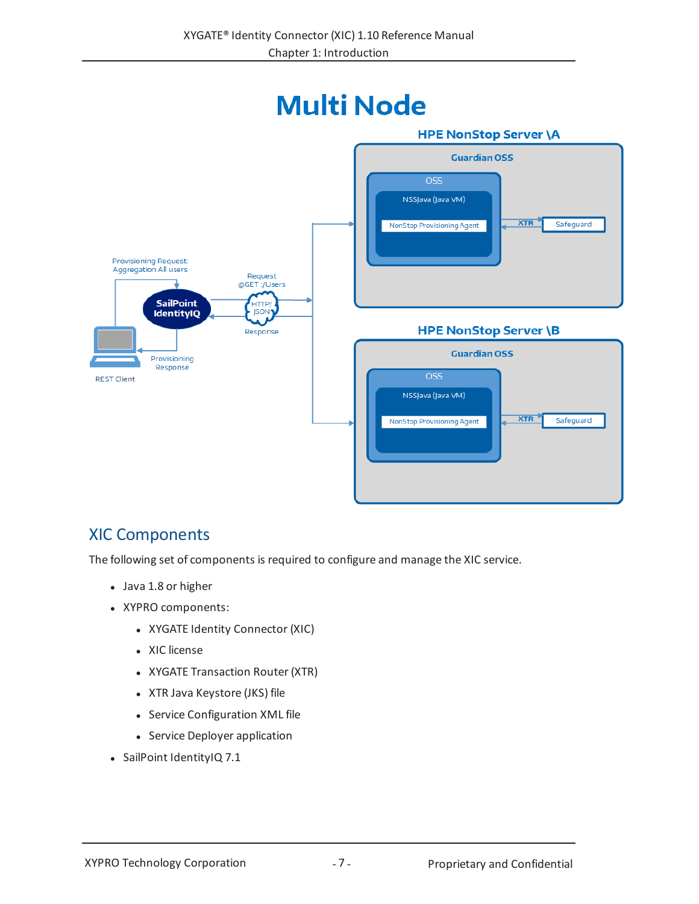

# <span id="page-6-0"></span>XIC Components

The following set of components is required to configure and manage the XIC service.

- Java 1.8 or higher
- XYPRO components:
	- XYGATE Identity Connector (XIC)
	- XIC license
	- XYGATE Transaction Router (XTR)
	- XTR Java Keystore (JKS) file
	- Service Configuration XML file
	- Service Deployer application
- SailPoint IdentityIQ 7.1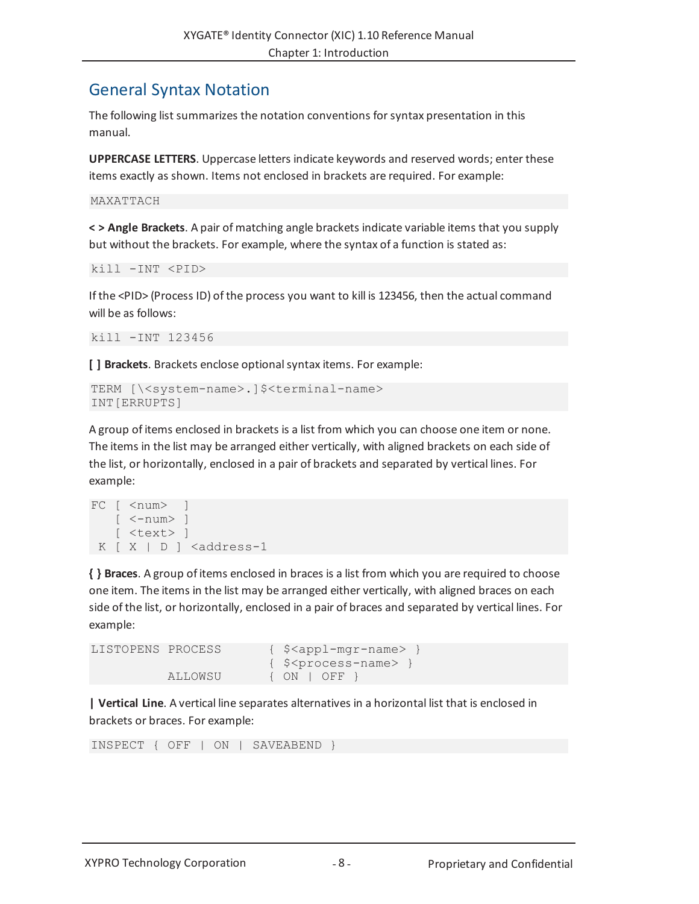# <span id="page-7-0"></span>General Syntax Notation

The following list summarizes the notation conventions for syntax presentation in this manual.

**UPPERCASE LETTERS**. Uppercase letters indicate keywords and reserved words; enter these items exactly as shown. Items not enclosed in brackets are required. For example:

```
MAXATTACH
```
**< > Angle Brackets**. A pair of matching angle brackets indicate variable items that you supply but without the brackets. For example, where the syntax of a function is stated as:

```
kill -INT <PID>
```
If the <PID> (Process ID) of the process you want to kill is 123456, then the actual command will be as follows:

```
kill -INT 123456
```
**[ ] Brackets**. Brackets enclose optionalsyntax items. For example:

```
TERM [\<system-name>.]$<terminal-name>
INT[ERRUPTS]
```
A group of items enclosed in brackets is a list from which you can choose one item or none. The items in the list may be arranged either vertically, with aligned brackets on each side of the list, or horizontally, enclosed in a pair of brackets and separated by vertical lines. For example:

```
FC \mid <num> \mid[ \langle-num\rangle ]
    [ <text> ]
 K [ X | D ] <address-1
```
**{ } Braces**. A group of items enclosed in braces is a list from which you are required to choose one item. The items in the list may be arranged either vertically, with aligned braces on each side of the list, or horizontally, enclosed in a pair of braces and separated by vertical lines. For example:

```
LISTOPENS PROCESS { $<appl-mgr-name> }
                     { $<process-name> }
         ALLOWSU { ON | OFF }
```
**| Vertical Line**. A vertical line separates alternatives in a horizontal list that is enclosed in brackets or braces. For example:

INSPECT { OFF | ON | SAVEABEND }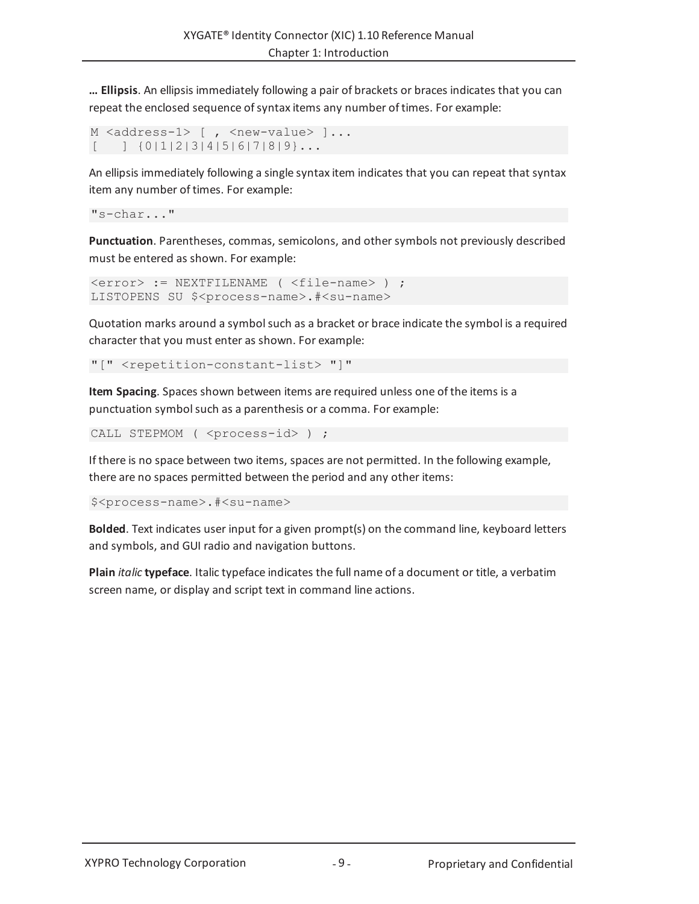**… Ellipsis**. An ellipsis immediately following a pair of brackets or braces indicates that you can repeat the enclosed sequence of syntax items any number of times. For example:

M <address-1> [, <new-value> ]...  $[$  ]  $\{0|1|2|3|4|5|6|7|8|9\}...$ 

An ellipsis immediately following a single syntax item indicates that you can repeat that syntax item any number of times. For example:

```
"s-char..."
```
**Punctuation**. Parentheses, commas, semicolons, and other symbols not previously described must be entered as shown. For example:

```
<error> := NEXTFILENAME ( <file-name> ) ;
LISTOPENS SU $<process-name>.#<su-name>
```
Quotation marks around a symbolsuch as a bracket or brace indicate the symbol is a required character that you must enter as shown. For example:

"[" <repetition-constant-list> "]"

**Item Spacing**. Spaces shown between items are required unless one of the items is a punctuation symbolsuch as a parenthesis or a comma. For example:

CALL STEPMOM ( <process-id> ) ;

If there is no space between two items, spaces are not permitted. In the following example, there are no spaces permitted between the period and any other items:

\$<process-name>.#<su-name>

**Bolded**. Text indicates user input for a given prompt(s) on the command line, keyboard letters and symbols, and GUI radio and navigation buttons.

**Plain** *italic* **typeface**. Italic typeface indicates the full name of a document or title, a verbatim screen name, or display and script text in command line actions.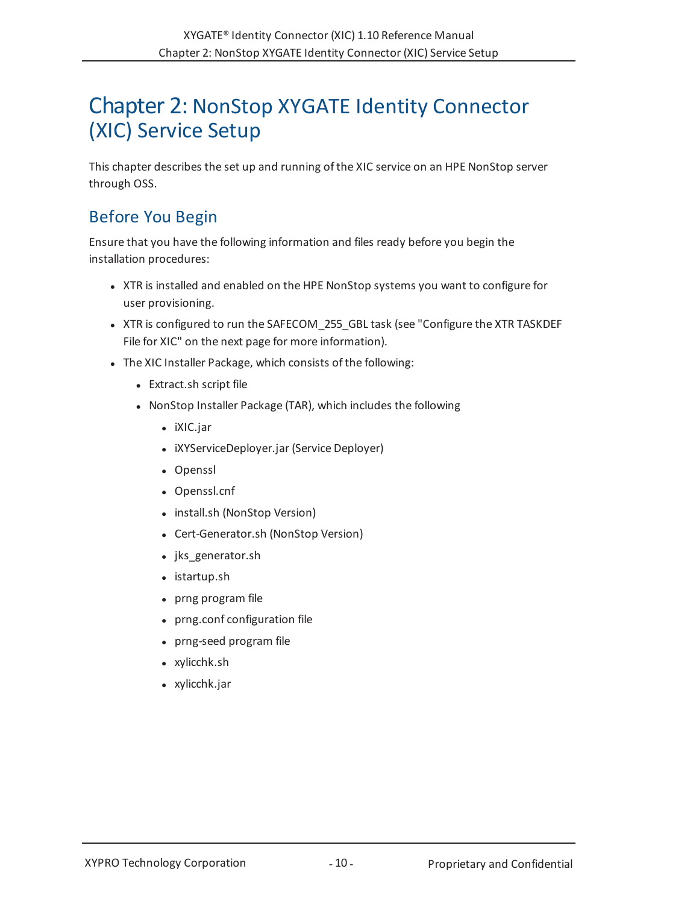# <span id="page-9-0"></span>Chapter 2: NonStop XYGATE Identity Connector (XIC) Service Setup

This chapter describes the set up and running of the XIC service on an HPE NonStop server through OSS.

# <span id="page-9-1"></span>Before You Begin

Ensure that you have the following information and files ready before you begin the installation procedures:

- <sup>l</sup> XTR is installed and enabled on the HPE NonStop systems you want to configure for user provisioning.
- XTR is configured to run the SAFECOM 255 GBL task (see ["Configure](#page-10-0) the XTR TASKDEF File for XIC" on the next [page](#page-10-0) for more information).
- The XIC Installer Package, which consists of the following:
	- Extract.sh script file
	- NonStop Installer Package (TAR), which includes the following
		- iXIC.jar
		- iXYServiceDeployer.jar (Service Deployer)
		- Openssl
		- Openssl.cnf
		- install.sh (NonStop Version)
		- Cert-Generator.sh (NonStop Version)
		- jks generator.sh
		- $\bullet$  istartup.sh
		- prng program file
		- prng.conf configuration file
		- prng-seed program file
		- xylicchk.sh
		- $\bullet$  xylicchk.jar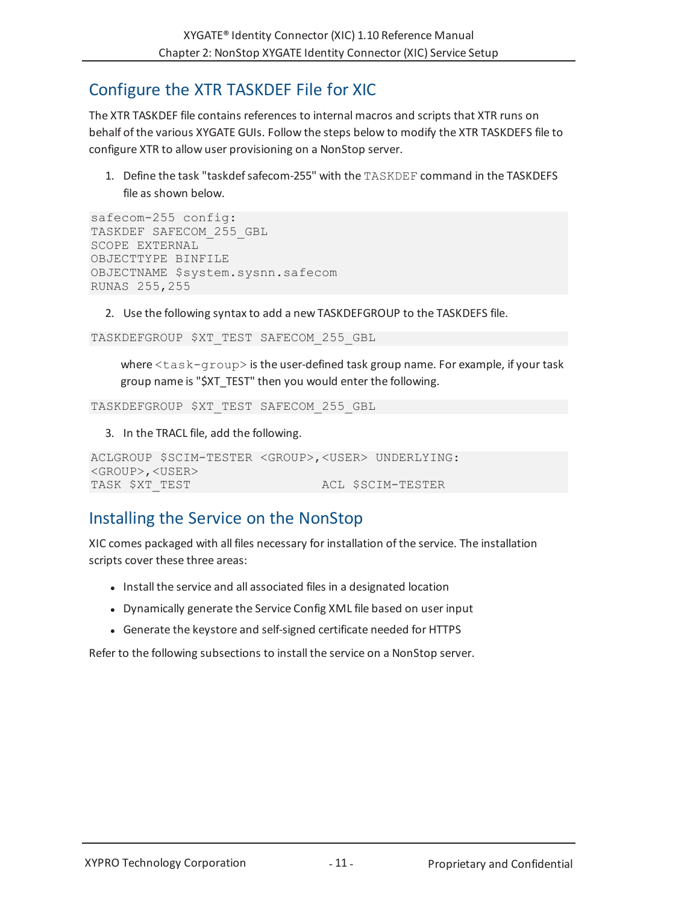# <span id="page-10-0"></span>Configure the XTR TASKDEF File for XIC

The XTR TASKDEF file contains references to internal macros and scripts that XTR runs on behalf of the various XYGATE GUIs. Follow the steps below to modify the XTR TASKDEFS file to configure XTR to allow user provisioning on a NonStop server.

1. Define the task "taskdefsafecom-255" with the TASKDEF command in the TASKDEFS file as shown below.

```
safecom-255 config:
TASKDEF SAFECOM_255_GBL
SCOPE EXTERNAL
OBJECTTYPE BINFILE
OBJECTNAME $system.sysnn.safecom
RUNAS 255,255
```
2. Use the following syntax to add a new TASKDEFGROUP to the TASKDEFS file.

```
TASKDEFGROUP $XT_TEST SAFECOM_255_GBL
```
where <task-group> is the user-defined task group name. For example, if your task group name is "\$XT\_TEST" then you would enter the following.

TASKDEFGROUP \$XT\_TEST SAFECOM\_255\_GBL

3. In the TRACL file, add the following.

```
ACLGROUP $SCIM-TESTER <GROUP>,<USER> UNDERLYING:
<GROUP>,<USER>
TASK $XT TEST ACL $SCIM-TESTER
```
# <span id="page-10-1"></span>Installing the Service on the NonStop

XIC comes packaged with all files necessary for installation of the service. The installation scripts cover these three areas:

- Install the service and all associated files in a designated location
- Dynamically generate the Service Config XML file based on user input
- Generate the keystore and self-signed certificate needed for HTTPS

Refer to the following subsections to install the service on a NonStop server.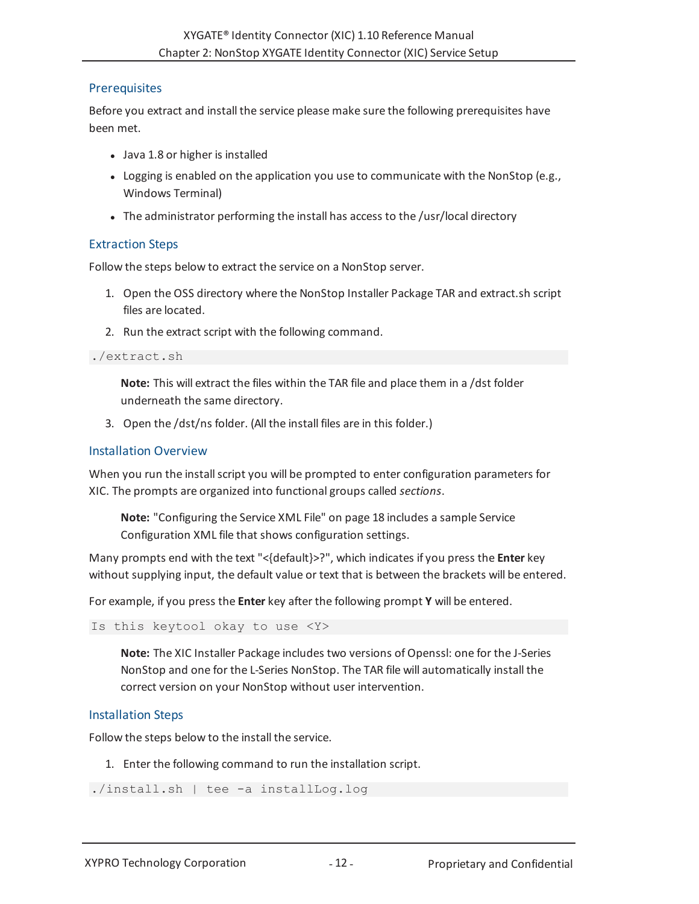# <span id="page-11-0"></span>**Prerequisites**

Before you extract and install the service please make sure the following prerequisites have been met.

- Java 1.8 or higher is installed
- $\bullet$  Logging is enabled on the application you use to communicate with the NonStop (e.g., Windows Terminal)
- The administrator performing the install has access to the /usr/local directory

# <span id="page-11-1"></span>Extraction Steps

Follow the steps below to extract the service on a NonStop server.

- 1. Open the OSS directory where the NonStop Installer Package TAR and extract.sh script files are located.
- 2. Run the extract script with the following command.

### ./extract.sh

**Note:** This will extract the files within the TAR file and place them in a /dst folder underneath the same directory.

3. Open the /dst/ns folder. (All the install files are in this folder.)

## <span id="page-11-2"></span>Installation Overview

When you run the install script you will be prompted to enter configuration parameters for XIC. The prompts are organized into functional groups called *sections*.

**Note:** ["Configuring](#page-17-1) the Service XML File" on page 18 includes a sample Service Configuration XML file that shows configuration settings.

Many prompts end with the text "<{default}>?", which indicates if you press the **Enter** key without supplying input, the default value or text that is between the brackets will be entered.

For example, if you press the **Enter** key after the following prompt **Y** will be entered.

```
Is this keytool okay to use <Y>
```
**Note:** The XIC Installer Package includes two versions of Openssl: one for the J-Series NonStop and one for the L-Series NonStop. The TAR file will automatically install the correct version on your NonStop without user intervention.

# <span id="page-11-3"></span>Installation Steps

Follow the steps below to the install the service.

1. Enter the following command to run the installation script.

```
./install.sh | tee -a installLog.log
```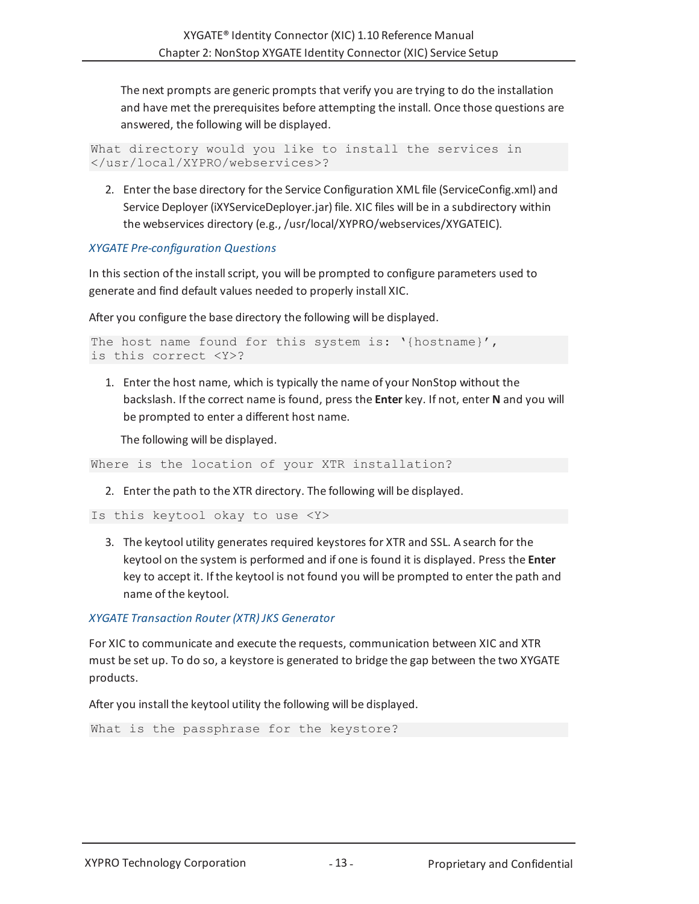The next prompts are generic prompts that verify you are trying to do the installation and have met the prerequisites before attempting the install. Once those questions are answered, the following will be displayed.

```
What directory would you like to install the services in
</usr/local/XYPRO/webservices>?
```
2. Enter the base directory for the Service Configuration XML file (ServiceConfig.xml) and Service Deployer (iXYServiceDeployer.jar) file. XIC files will be in a subdirectory within the webservices directory (e.g., /usr/local/XYPRO/webservices/XYGATEIC).

# *XYGATE Pre-configuration Questions*

In this section of the installscript, you will be prompted to configure parameters used to generate and find default values needed to properly install XIC.

After you configure the base directory the following will be displayed.

```
The host name found for this system is: '{hostname}',
is this correct <Y>?
```
1. Enter the host name, which is typically the name of your NonStop without the backslash. If the correct name is found, press the **Enter** key. If not, enter **N** and you will be prompted to enter a different host name.

The following will be displayed.

Where is the location of your XTR installation?

2. Enter the path to the XTR directory. The following will be displayed.

```
Is this keytool okay to use <Y>
```
3. The keytool utility generates required keystores for XTR and SSL. A search for the keytool on the system is performed and if one is found it is displayed. Press the **Enter** key to accept it. If the keytool is not found you will be prompted to enter the path and name of the keytool.

### *XYGATE Transaction Router (XTR) JKS Generator*

For XIC to communicate and execute the requests, communication between XIC and XTR must be set up. To do so, a keystore is generated to bridge the gap between the two XYGATE products.

After you install the keytool utility the following will be displayed.

```
What is the passphrase for the keystore?
```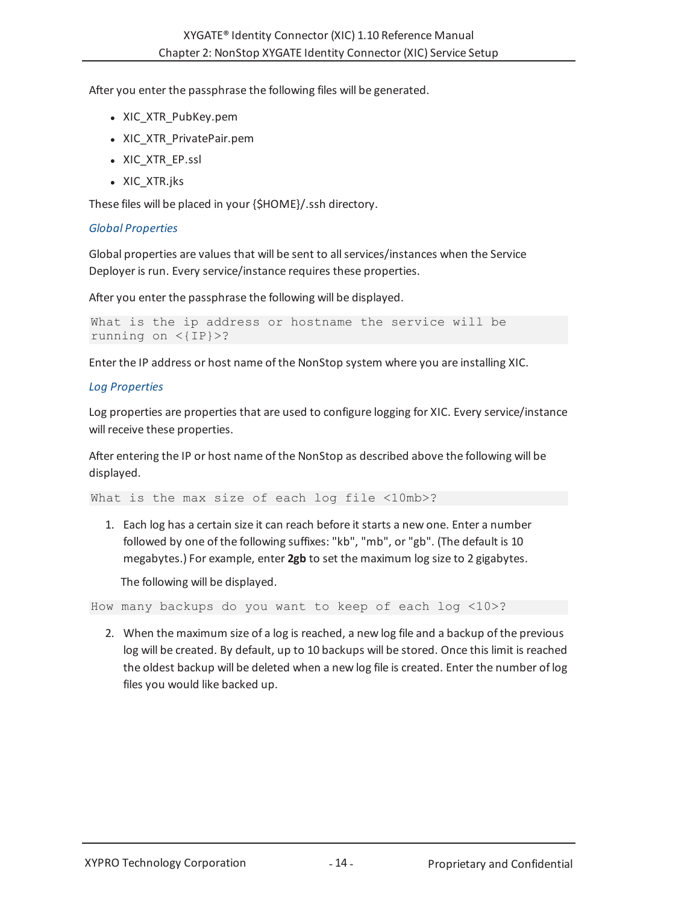After you enter the passphrase the following files will be generated.

- XIC XTR PubKey.pem
- XIC XTR PrivatePair.pem
- XIC XTR EP.ssl
- XIC XTR.jks

These files will be placed in your {\$HOME}/.ssh directory.

## *Global Properties*

Global properties are values that will be sent to allservices/instances when the Service Deployer is run. Every service/instance requires these properties.

After you enter the passphrase the following will be displayed.

```
What is the ip address or hostname the service will be
running on <{IP}>?
```
Enter the IP address or host name of the NonStop system where you are installing XIC.

## *Log Properties*

Log properties are properties that are used to configure logging for XIC. Every service/instance will receive these properties.

After entering the IP or host name of the NonStop as described above the following will be displayed.

What is the max size of each log file <10mb>?

1. Each log has a certain size it can reach before it starts a new one. Enter a number followed by one of the following suffixes: "kb", "mb", or "gb". (The default is 10 megabytes.) For example, enter **2gb** to set the maximum log size to 2 gigabytes.

The following will be displayed.

How many backups do you want to keep of each log <10>?

2. When the maximum size of a log is reached, a new log file and a backup of the previous log will be created. By default, up to 10 backups will be stored. Once this limit is reached the oldest backup will be deleted when a new log file is created. Enter the number of log files you would like backed up.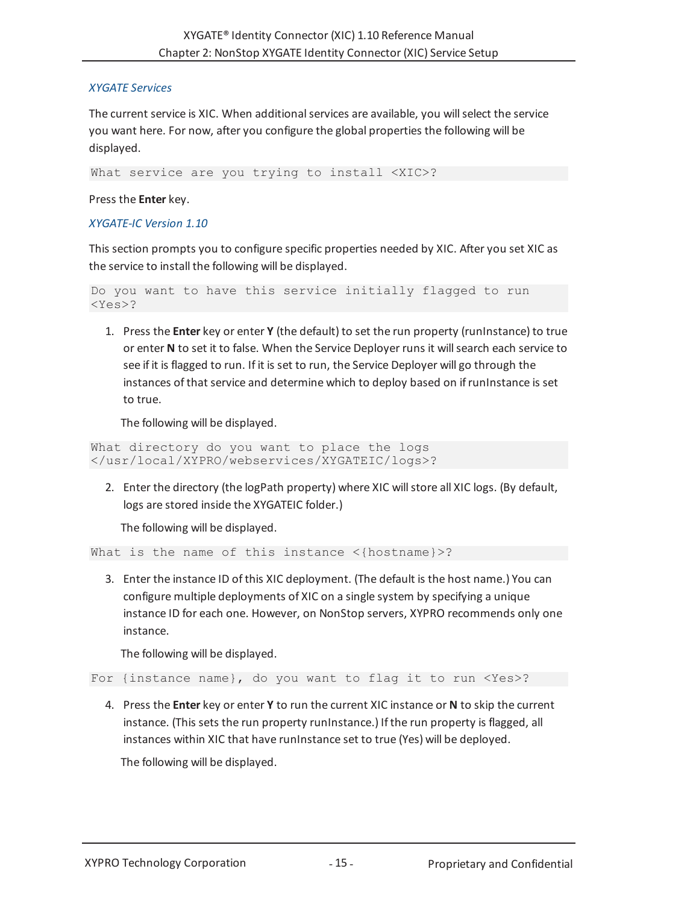## *XYGATE Services*

The current service is XIC. When additional services are available, you will select the service you want here. For now, after you configure the global properties the following will be displayed.

What service are you trying to install <XIC>?

Press the **Enter** key.

### *XYGATE-IC Version 1.10*

This section prompts you to configure specific properties needed by XIC. After you set XIC as the service to install the following will be displayed.

```
Do you want to have this service initially flagged to run
<Yes>?
```
1. Press the **Enter** key or enter **Y** (the default) to set the run property (runInstance) to true or enter **N** to set it to false. When the Service Deployer runs it willsearch each service to see if it is flagged to run. If it is set to run, the Service Deployer will go through the instances of that service and determine which to deploy based on ifrunInstance is set to true.

The following will be displayed.

```
What directory do you want to place the logs
</usr/local/XYPRO/webservices/XYGATEIC/logs>?
```
2. Enter the directory (the logPath property) where XIC will store all XIC logs. (By default, logs are stored inside the XYGATEIC folder.)

<span id="page-14-0"></span>The following will be displayed.

```
What is the name of this instance <{hostname}>?
```
3. Enter the instance ID of this XIC deployment. (The default is the host name.) You can configure multiple deployments of XIC on a single system by specifying a unique instance ID for each one. However, on NonStop servers, XYPRO recommends only one instance.

The following will be displayed.

For {instance name}, do you want to flag it to run <Yes>?

4. Press the **Enter** key or enter **Y** to run the current XIC instance or **N** to skip the current instance. (This sets the run property runInstance.) If the run property is flagged, all instances within XIC that have runInstance set to true (Yes) will be deployed.

The following will be displayed.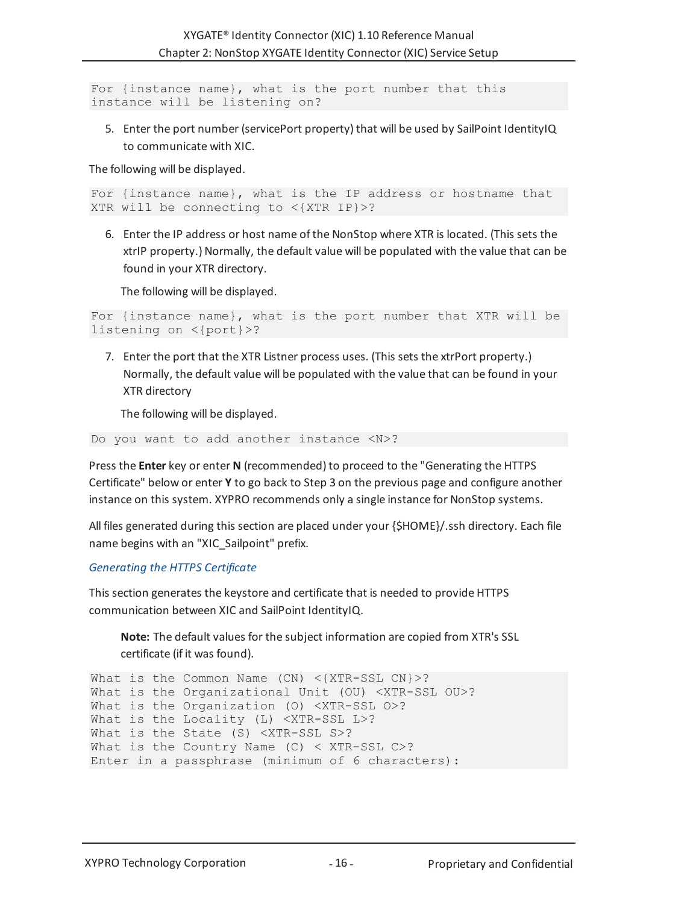For {instance name}, what is the port number that this instance will be listening on?

5. Enter the port number (servicePort property) that will be used by SailPoint IdentityIQ to communicate with XIC.

The following will be displayed.

```
For {instance name}, what is the IP address or hostname that
XTR will be connecting to <{XTR IP}>?
```
6. Enter the IP address or host name of the NonStop where XTR is located. (This sets the xtrIP property.) Normally, the default value will be populated with the value that can be found in your XTR directory.

The following will be displayed.

```
For {instance name}, what is the port number that XTR will be
listening on <{port}>?
```
7. Enter the port that the XTR Listner process uses. (This sets the xtrPort property.) Normally, the default value will be populated with the value that can be found in your XTR directory

The following will be displayed.

Do you want to add another instance <N>?

Press the **Enter** key or enter **N** (recommended) to proceed to the ["Generating](#page-15-0) the HTTPS [Certificate"](#page-15-0) below or enter **Y** to go back to Step 3 on the [previous](#page-14-0) page and configure another instance on this system. XYPRO recommends only a single instance for NonStop systems.

All files generated during this section are placed under your {\$HOME}/.ssh directory. Each file name begins with an "XIC\_Sailpoint" prefix.

### <span id="page-15-0"></span>*Generating the HTTPS Certificate*

This section generates the keystore and certificate that is needed to provide HTTPS communication between XIC and SailPoint IdentityIQ.

**Note:** The default values for the subject information are copied from XTR's SSL certificate (if it was found).

```
What is the Common Name (CN) <{XTR-SSL CN}>?
What is the Organizational Unit (OU) <XTR-SSL OU>?
What is the Organization (O) <XTR-SSL O>?
What is the Locality (L) <XTR-SSL L>?
What is the State (S) <XTR-SSL S>?
What is the Country Name (C) < XTR-SSL C>?
Enter in a passphrase (minimum of 6 characters):
```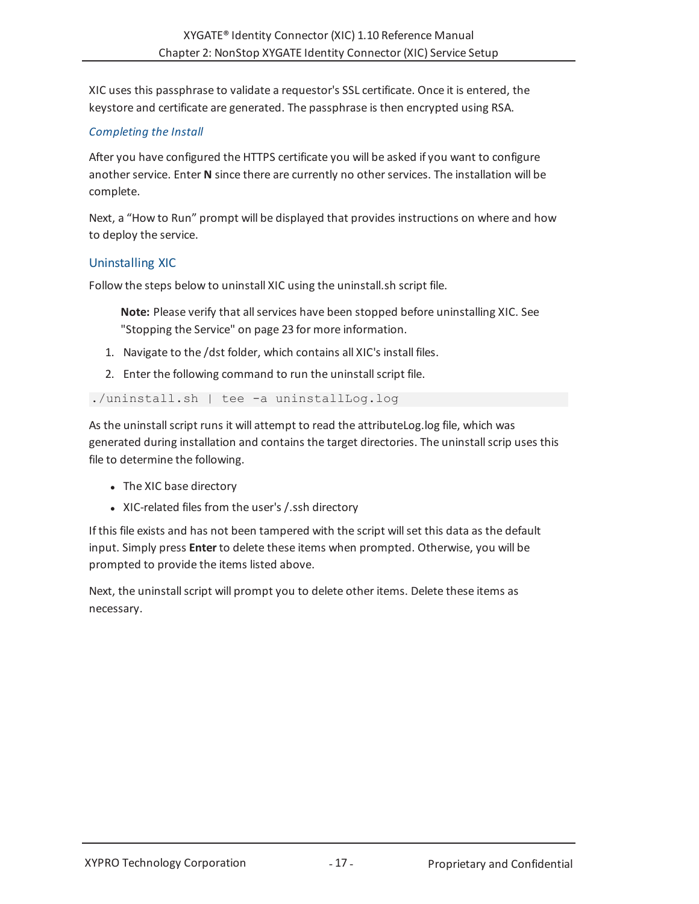XIC uses this passphrase to validate a requestor's SSL certificate. Once it is entered, the keystore and certificate are generated. The passphrase is then encrypted using RSA.

# *Completing the Install*

After you have configured the HTTPS certificate you will be asked if you want to configure another service. Enter **N** since there are currently no other services. The installation will be complete.

Next, a "How to Run" prompt will be displayed that provides instructions on where and how to deploy the service.

## <span id="page-16-0"></span>Uninstalling XIC

Follow the steps below to uninstall XIC using the uninstall.sh script file.

**Note:** Please verify that all services have been stopped before uninstalling XIC. See ["Stopping](#page-22-0) the Service" on page 23 for more information.

- 1. Navigate to the /dst folder, which contains all XIC's install files.
- 2. Enter the following command to run the uninstall script file.

./uninstall.sh | tee -a uninstallLog.log

As the uninstall script runs it will attempt to read the attributeLog.log file, which was generated during installation and contains the target directories. The uninstallscrip uses this file to determine the following.

- The XIC base directory
- XIC-related files from the user's / ssh directory

If this file exists and has not been tampered with the script willset this data as the default input. Simply press **Enter** to delete these items when prompted. Otherwise, you will be prompted to provide the items listed above.

Next, the uninstallscript will prompt you to delete other items. Delete these items as necessary.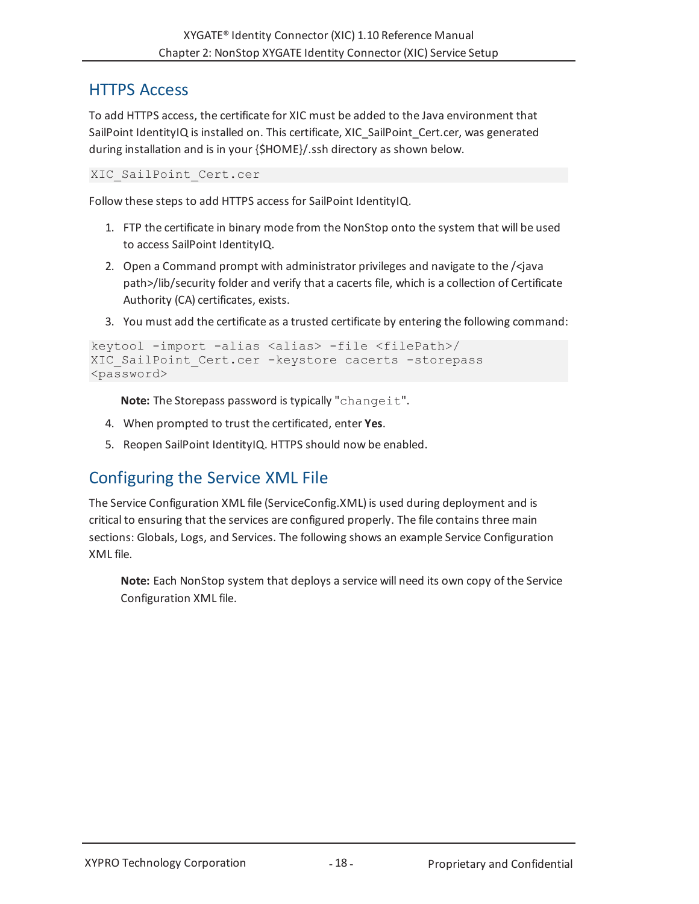# <span id="page-17-0"></span>HTTPS Access

To add HTTPS access, the certificate for XIC must be added to the Java environment that SailPoint IdentityIQ is installed on. This certificate, XIC\_SailPoint\_Cert.cer, was generated during installation and is in your {\$HOME}/.ssh directory as shown below.

XIC\_SailPoint\_Cert.cer

Follow these steps to add HTTPS access for SailPoint IdentityIQ.

- 1. FTP the certificate in binary mode from the NonStop onto the system that will be used to access SailPoint IdentityIQ.
- 2. Open a Command prompt with administrator privileges and navigate to the /<java path>/lib/security folder and verify that a cacerts file, which is a collection of Certificate Authority (CA) certificates, exists.
- 3. You must add the certificate as a trusted certificate by entering the following command:

```
keytool -import -alias <alias> -file <filePath>/
XIC SailPoint Cert.cer -keystore cacerts -storepass
<password>
```
Note: The Storepass password is typically "changeit".

- 4. When prompted to trust the certificated, enter **Yes**.
- 5. Reopen SailPoint IdentityIQ. HTTPS should now be enabled.

# <span id="page-17-1"></span>Configuring the Service XML File

The Service Configuration XML file (ServiceConfig.XML) is used during deployment and is critical to ensuring that the services are configured properly. The file contains three main sections: Globals, Logs, and Services. The following shows an example Service Configuration XML file.

**Note:** Each NonStop system that deploys a service will need its own copy of the Service Configuration XML file.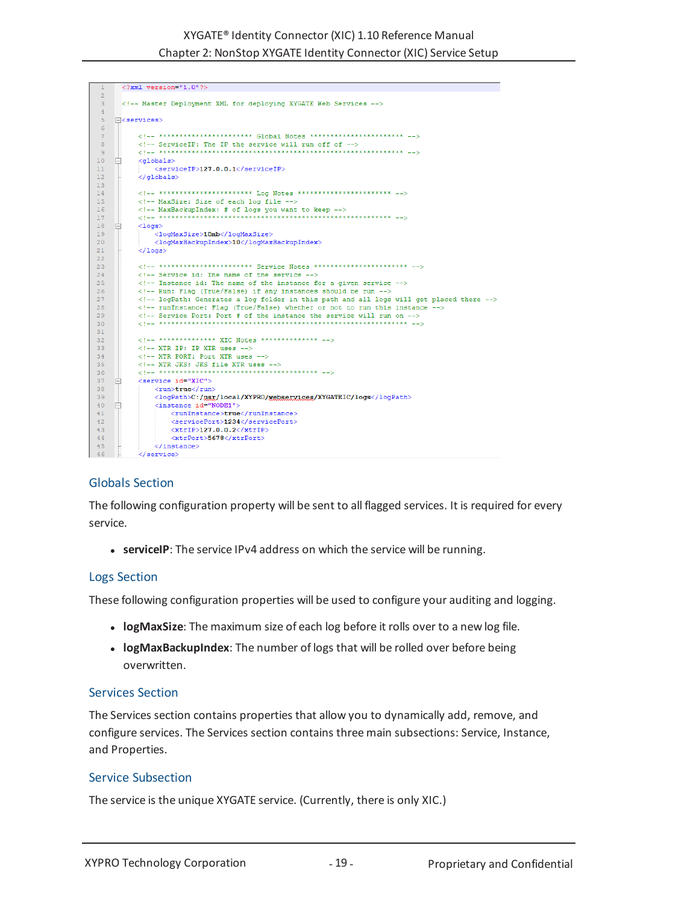| $\mathbf{1}$         | $\langle ?xm1$ version="1.0"?>                                                  |
|----------------------|---------------------------------------------------------------------------------|
| $\overline{2}$       |                                                                                 |
| 3                    | Master Deployment XML for deploving XYGATE Web Services                         |
| 4                    |                                                                                 |
| 5                    | F <services></services>                                                         |
| 6                    |                                                                                 |
| $7\phantom{.0}$<br>8 | $\langle 1-$ ********************** Global Notes ********************* -->      |
| 9                    | ServiceIP: The IP the service will run off of                                   |
| 10                   |                                                                                 |
| 11                   | <qlobals><br/><serviceip>127.0.0.1</serviceip></qlobals>                        |
| 12                   |                                                                                 |
| 13                   |                                                                                 |
| 14                   | $\langle 1--$ ********************** Log Notes ********************* -->        |
| 15                   | MaxSize: Size of each log file                                                  |
| 16                   | MaxBackupIndex: # of logs you want to keep                                      |
| 17                   |                                                                                 |
| 18                   | $<$ logs $>$                                                                    |
| 19                   | <logmaxsize>10mb</logmaxsize>                                                   |
| 20                   | <logmaxbackupindex>10</logmaxbackupindex>                                       |
| 21                   | $\langle /1$ ogs $>$                                                            |
| 2.2.                 |                                                                                 |
| 23                   | *********************** Service Notes **********************                    |
| 24                   | Service id: The name of the service                                             |
| 25                   | Instance id: The name of the instance for a given service                       |
| 26                   | Run: Flag (True/False) if any instances should be run                           |
| 27                   | logPath: Generates a log folder in this path and all logs will get placed there |
| 28                   | runInstance: Flag (True/False) whether or not to run this instance              |
| 29                   | Service Port: Port # of the instance the service will run on                    |
| 30                   |                                                                                 |
| 31                   |                                                                                 |
| 32                   | ************** XIC Notes *************                                          |
| 33                   | $\langle$ !-- XTR IP: IP XTR uses -->                                           |
| 34                   | XTR PORT: Port XTR uses                                                         |
| 35<br>36             | XTR JKS: JKS file XTR uses                                                      |
| 37                   | <service id="XIC"></service>                                                    |
| 38                   | <run>true</run>                                                                 |
| 39                   | <logpath>C:/usr/local/XYPRO/webservices/XYGATEIC/logs</logpath>                 |
| 40 <sup>°</sup>      | <instance id="NODE1"></instance>                                                |
| 41                   | <runinstance>true</runinstance>                                                 |
| 42.                  | <serviceport>1234</serviceport>                                                 |
| 43                   | <xtrip>127.0.0.2</xtrip>                                                        |
| 44                   | <xtrport>5678</xtrport>                                                         |
| 45                   |                                                                                 |
| $\overline{A}$       |                                                                                 |

# <span id="page-18-0"></span>Globals Section

The following configuration property will be sent to all flagged services. It is required for every service.

**serviceIP**: The service IPv4 address on which the service will be running.

# <span id="page-18-1"></span>Logs Section

These following configuration properties will be used to configure your auditing and logging.

- **.** logMaxSize: The maximum size of each log before it rolls over to a new log file.
- **· logMaxBackupIndex**: The number of logs that will be rolled over before being overwritten.

### <span id="page-18-2"></span>Services Section

The Services section contains properties that allow you to dynamically add, remove, and configure services. The Services section contains three main subsections: Service, Instance, and Properties.

### <span id="page-18-3"></span>Service Subsection

The service is the unique XYGATE service. (Currently, there is only XIC.)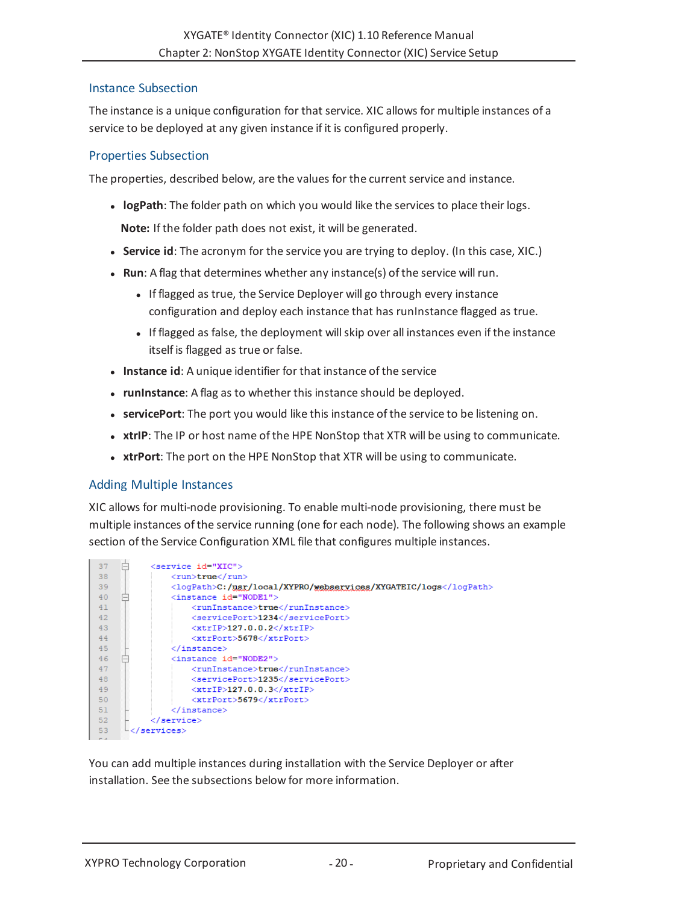# <span id="page-19-0"></span>Instance Subsection

The instance is a unique configuration for that service. XIC allows for multiple instances of a service to be deployed at any given instance if it is configured properly.

# <span id="page-19-1"></span>Properties Subsection

The properties, described below, are the values for the current service and instance.

**.** logPath: The folder path on which you would like the services to place their logs.

**Note:** If the folder path does not exist, it will be generated.

- **Service id**: The acronym for the service you are trying to deploy. (In this case, XIC.)
- **Run**: A flag that determines whether any instance(s) of the service will run.
	- If flagged as true, the Service Deployer will go through every instance configuration and deploy each instance that has runInstance flagged as true.
	- If flagged as false, the deployment will skip over all instances even if the instance itself is flagged as true or false.
- **· Instance id:** A unique identifier for that instance of the service
- <span id="page-19-3"></span>**• runInstance**: A flag as to whether this instance should be deployed.
- **servicePort**: The port you would like this instance of the service to be listening on.
- **\*** xtrIP: The IP or host name of the HPE NonStop that XTR will be using to communicate.
- **\*** xtrPort: The port on the HPE NonStop that XTR will be using to communicate.

# <span id="page-19-2"></span>Adding Multiple Instances

XIC allows for multi-node provisioning. To enable multi-node provisioning, there must be multiple instances of the service running (one for each node). The following shows an example section of the Service Configuration XML file that configures multiple instances.



You can add multiple instances during installation with the Service Deployer or after installation. See the subsections below for more information.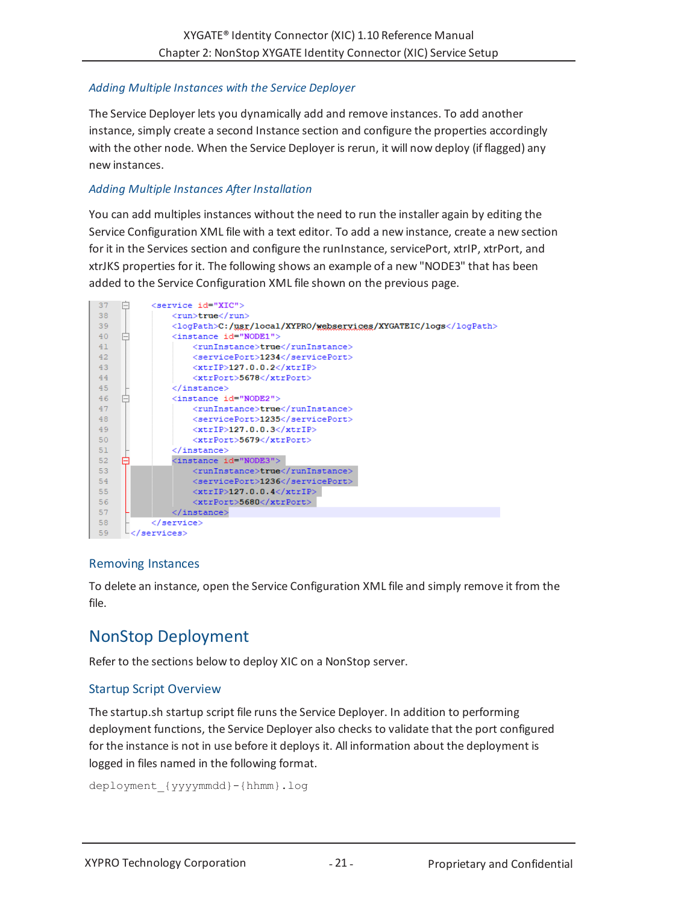# *Adding Multiple Instances with the Service Deployer*

The Service Deployer lets you dynamically add and remove instances. To add another instance, simply create a second Instance section and configure the properties accordingly with the other node. When the Service Deployer is rerun, it will now deploy (if flagged) any new instances.

# *Adding Multiple Instances After Installation*

You can add multiples instances without the need to run the installer again by editing the Service Configuration XML file with a text editor. To add a new instance, create a new section for it in the Services section and configure the runInstance, servicePort, xtrIP, xtrPort, and xtrJKS properties for it. The following shows an example of a new "NODE3" that has been added to the Service Configuration XML file shown on the [previous](#page-19-3) page.



# <span id="page-20-0"></span>Removing Instances

To delete an instance, open the Service Configuration XML file and simply remove it from the file.

# <span id="page-20-1"></span>NonStop Deployment

Refer to the sections below to deploy XIC on a NonStop server.

# <span id="page-20-2"></span>Startup Script Overview

The startup.sh startup script file runs the Service Deployer. In addition to performing deployment functions, the Service Deployer also checks to validate that the port configured for the instance is not in use before it deploys it. All information about the deployment is logged in files named in the following format.

```
deployment_{yyyymmdd}-{hhmm}.log
```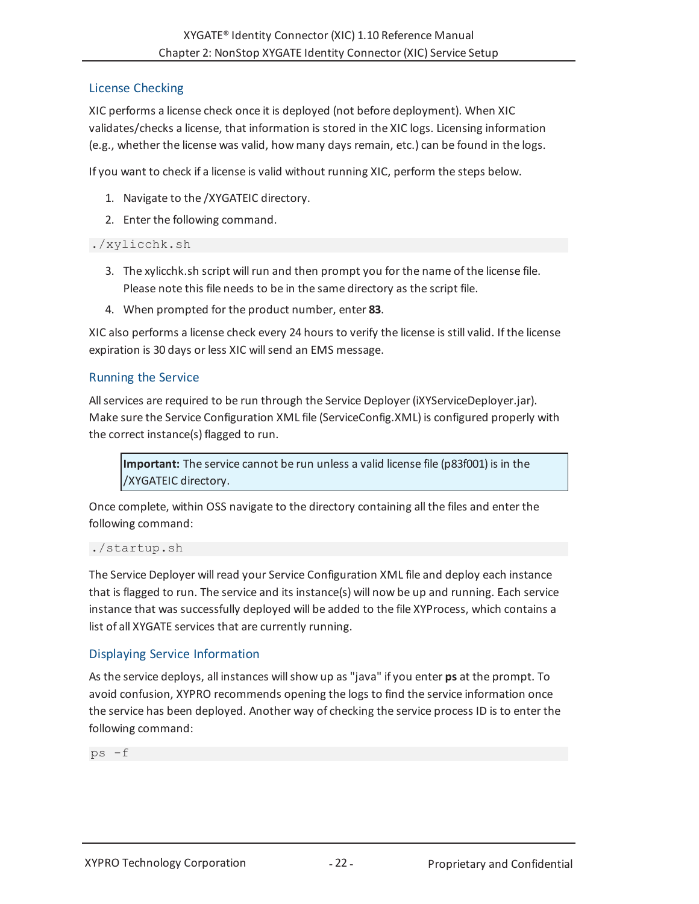# <span id="page-21-0"></span>License Checking

XIC performs a license check once it is deployed (not before deployment). When XIC validates/checks a license, that information is stored in the XIC logs. Licensing information (e.g., whether the license was valid, how many days remain, etc.) can be found in the logs.

If you want to check if a license is valid without running XIC, perform the steps below.

- 1. Navigate to the /XYGATEIC directory.
- 2. Enter the following command.

# ./xylicchk.sh

- 3. The xylicchk.sh script will run and then prompt you for the name of the license file. Please note this file needs to be in the same directory as the script file.
- 4. When prompted for the product number, enter **83**.

XIC also performs a license check every 24 hours to verify the license is still valid. If the license expiration is 30 days or less XIC will send an EMS message.

# <span id="page-21-1"></span>Running the Service

Allservices are required to be run through the Service Deployer (iXYServiceDeployer.jar). Make sure the Service Configuration XML file (ServiceConfig.XML) is configured properly with the correct instance(s) flagged to run.

**Important:** The service cannot be run unless a valid license file (p83f001) is in the /XYGATEIC directory.

Once complete, within OSS navigate to the directory containing all the files and enter the following command:

./startup.sh

The Service Deployer will read your Service Configuration XML file and deploy each instance that is flagged to run. The service and its instance(s) will now be up and running. Each service instance that was successfully deployed will be added to the file XYProcess, which contains a list of all XYGATE services that are currently running.

# <span id="page-21-2"></span>Displaying Service Information

As the service deploys, all instances willshow up as "java" if you enter **ps** at the prompt. To avoid confusion, XYPRO recommends opening the logs to find the service information once the service has been deployed. Another way of checking the service process ID is to enter the following command:

ps -f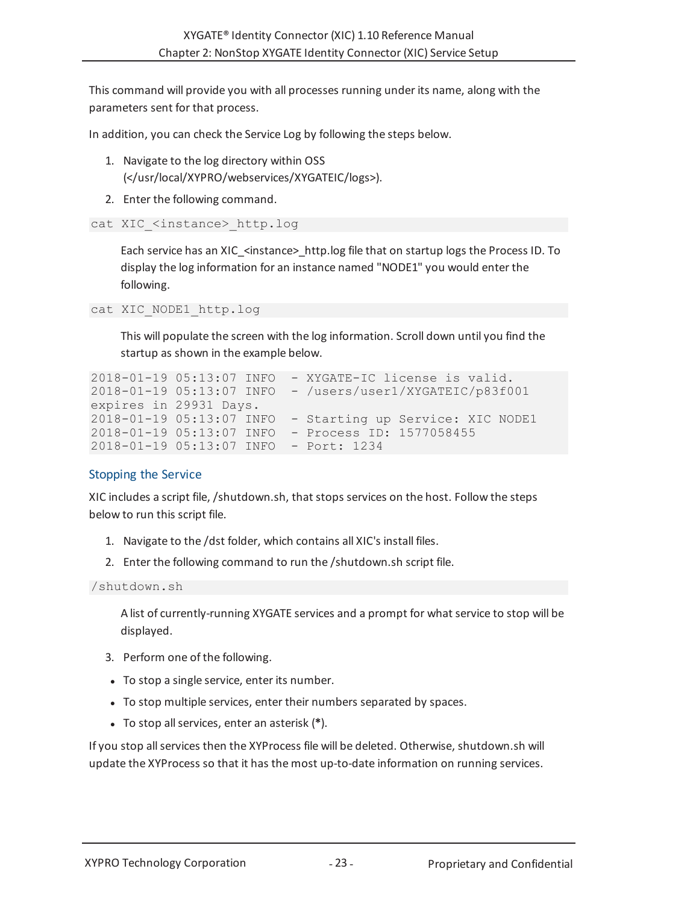This command will provide you with all processes running under its name, along with the parameters sent for that process.

In addition, you can check the Service Log by following the steps below.

- 1. Navigate to the log directory within OSS (</usr/local/XYPRO/webservices/XYGATEIC/logs>).
- 2. Enter the following command.

```
cat XIC <instance> http.log
```
Each service has an XIC <instance> http.log file that on startup logs the Process ID. To display the log information for an instance named "NODE1" you would enter the following.

```
cat XIC_NODE1_http.log
```
This will populate the screen with the log information. Scroll down until you find the startup as shown in the example below.

```
2018-01-19 05:13:07 INFO - XYGATE-IC license is valid.
2018-01-19 05:13:07 INFO - /users/user1/XYGATEIC/p83f001
expires in 29931 Days.
2018-01-19 05:13:07 INFO - Starting up Service: XIC NODE1
2018-01-19 05:13:07 INFO - Process ID: 1577058455
2018-01-19 05:13:07 INFO - Port: 1234
```
# <span id="page-22-0"></span>Stopping the Service

XIC includes a script file, /shutdown.sh, that stops services on the host. Follow the steps below to run this script file.

- 1. Navigate to the /dst folder, which contains all XIC's install files.
- 2. Enter the following command to run the /shutdown.sh script file.

```
/shutdown.sh
```
A list of currently-running XYGATE services and a prompt for what service to stop will be displayed.

- 3. Perform one of the following.
- To stop a single service, enter its number.
- To stop multiple services, enter their numbers separated by spaces.
- <sup>l</sup> To stop allservices, enter an asterisk (**\***).

If you stop all services then the XYProcess file will be deleted. Otherwise, shutdown.sh will update the XYProcess so that it has the most up-to-date information on running services.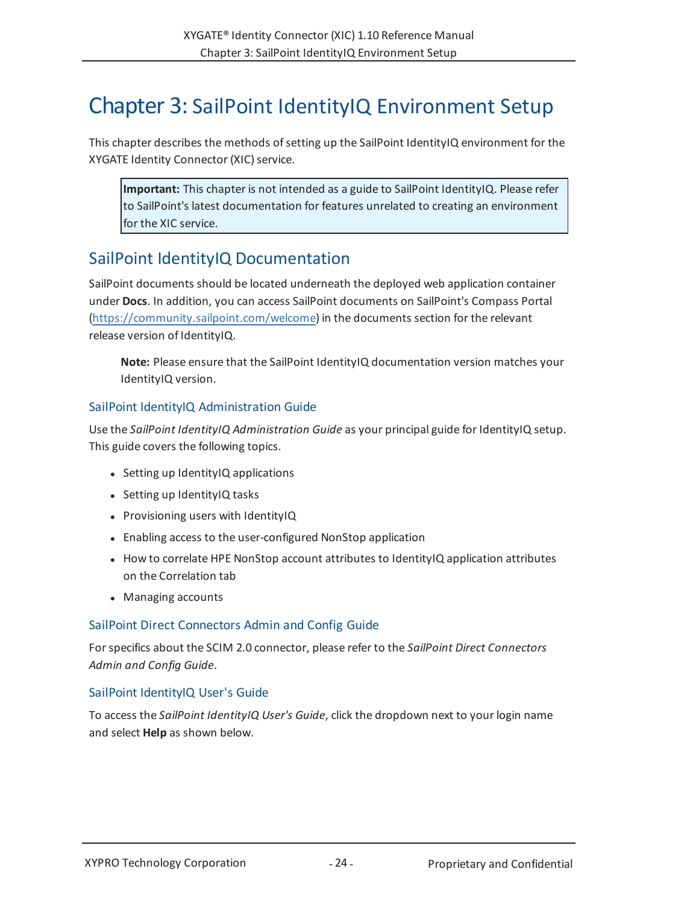# <span id="page-23-0"></span>Chapter 3: SailPoint IdentityIQ Environment Setup

This chapter describes the methods of setting up the SailPoint IdentityIQ environment for the XYGATE Identity Connector (XIC) service.

**Important:** This chapter is not intended as a guide to SailPoint IdentityIQ. Please refer to SailPoint's latest documentation for features unrelated to creating an environment for the XIC service.

# <span id="page-23-1"></span>SailPoint IdentityIQ Documentation

SailPoint documents should be located underneath the deployed web application container under **Docs**. In addition, you can access SailPoint documents on SailPoint's Compass Portal [\(https://community.sailpoint.com/welcome\)](https://community.sailpoint.com/welcome) in the documents section for the relevant release version of IdentityIQ.

**Note:** Please ensure that the SailPoint IdentityIQ documentation version matches your IdentityIQ version.

# <span id="page-23-2"></span>SailPoint IdentityIQ Administration Guide

Use the *SailPoint IdentityIQ Administration Guide* as your principal guide for IdentityIQ setup. This guide covers the following topics.

- $\bullet$  Setting up IdentityIQ applications
- Setting up IdentityIQ tasks
- Provisioning users with IdentityIQ
- Enabling access to the user-configured NonStop application
- How to correlate HPE NonStop account attributes to IdentityIQ application attributes on the Correlation tab
- Managing accounts

# <span id="page-23-3"></span>SailPoint Direct Connectors Admin and Config Guide

For specifics about the SCIM 2.0 connector, please refer to the *SailPoint Direct Connectors Admin and Config Guide*.

# <span id="page-23-4"></span>SailPoint IdentityIQ User's Guide

To access the *SailPoint IdentityIQ User's Guide*, click the dropdown next to your login name and select **Help** as shown below.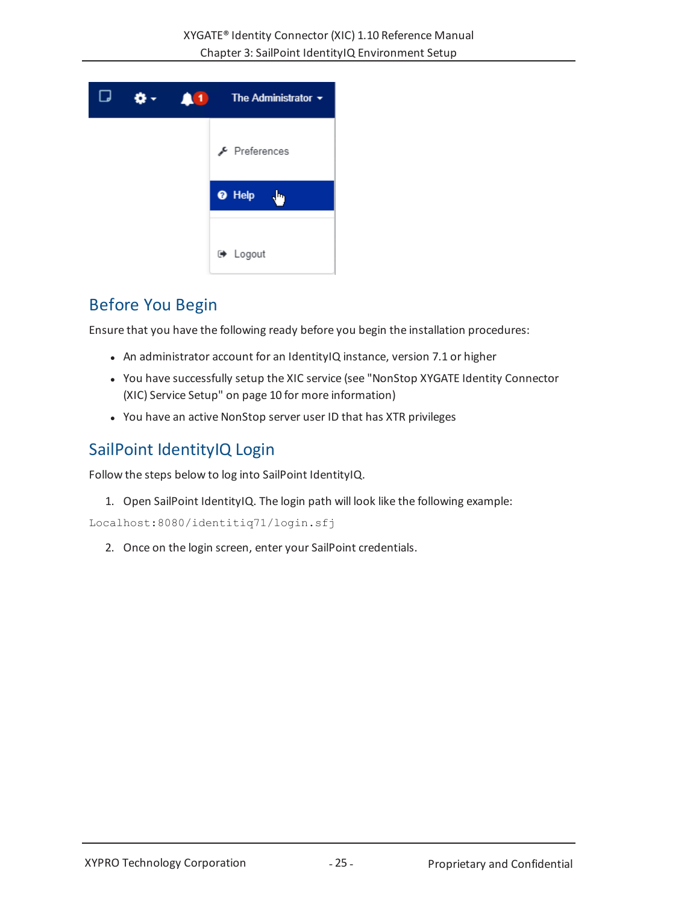

# <span id="page-24-0"></span>Before You Begin

Ensure that you have the following ready before you begin the installation procedures:

- An administrator account for an IdentityIQ instance, version 7.1 or higher
- You have successfully setup the XIC service (see "NonStop XYGATE Identity [Connector](#page-9-0) (XIC) Service Setup" on [page 10](#page-9-0) for more information)
- You have an active NonStop server user ID that has XTR privileges

# <span id="page-24-1"></span>SailPoint IdentityIQ Login

Follow the steps below to log into SailPoint IdentityIQ.

1. Open SailPoint IdentityIQ. The login path will look like the following example:

Localhost:8080/identitiq71/login.sfj

2. Once on the login screen, enter your SailPoint credentials.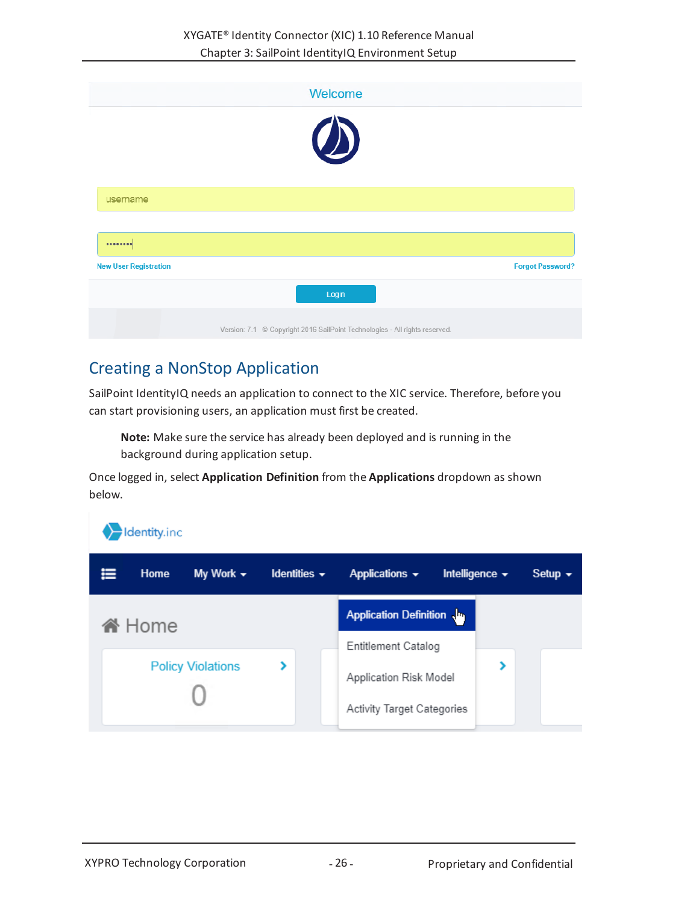|                              | Welcome                                                                     |                         |
|------------------------------|-----------------------------------------------------------------------------|-------------------------|
|                              | $\bigcirc$                                                                  |                         |
| username                     |                                                                             |                         |
|                              |                                                                             |                         |
| <b>New User Registration</b> |                                                                             | <b>Forgot Password?</b> |
|                              | Login                                                                       |                         |
|                              | Version: 7.1 © Copyright 2016 SailPoint Technologies - All rights reserved. |                         |

# <span id="page-25-0"></span>Creating a NonStop Application

SailPoint IdentityIQ needs an application to connect to the XIC service. Therefore, before you can start provisioning users, an application must first be created.

**Note:** Make sure the service has already been deployed and is running in the background during application setup.

Once logged in, select **Application Definition** from the **Applications** dropdown as shown below.

|   | dentity.inc   |                          |                                  |                                                                                    |                      |              |
|---|---------------|--------------------------|----------------------------------|------------------------------------------------------------------------------------|----------------------|--------------|
| ≡ | Home          | My Work $\sim$           | Identities $\blacktriangleright$ | Applications $\sim$                                                                | Intelligence $\star$ | Setup $\sim$ |
|   | <b>谷</b> Home |                          |                                  | Application Definition                                                             |                      |              |
|   |               | <b>Policy Violations</b> | ⋟                                | <b>Entitlement Catalog</b><br>Application Risk Model<br>Activity Target Categories |                      |              |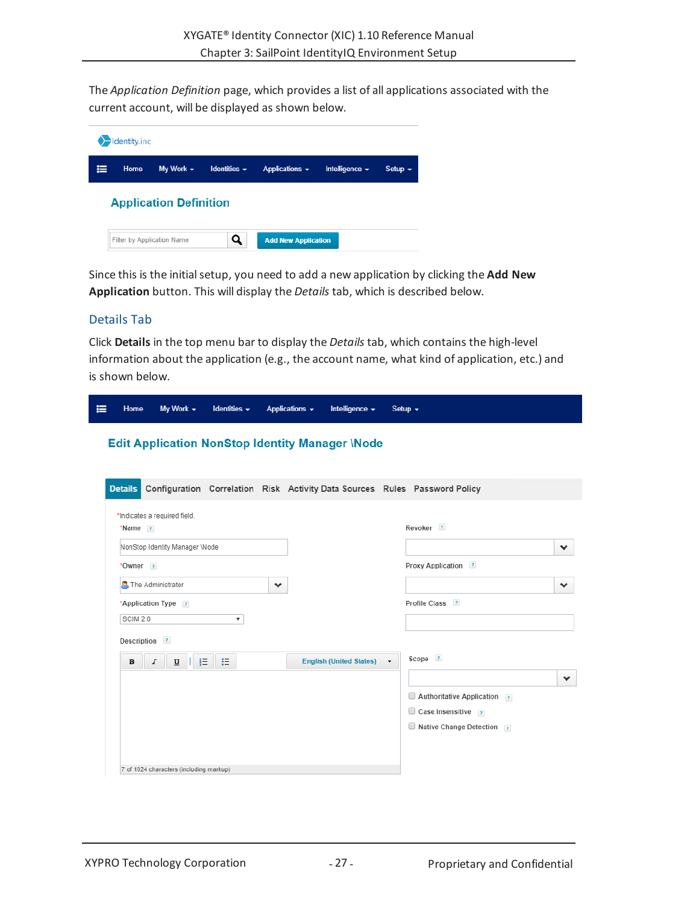The *Application Definition* page, which provides a list of all applications associated with the current account, will be displayed as shown below.

|   | Identity.inc |                               |                   |                            |                     |                        |
|---|--------------|-------------------------------|-------------------|----------------------------|---------------------|------------------------|
| ⋿ | Home         | My Work $\sim$                | Identities $\sim$ | Applications $\sim$        | Intelligence $\sim$ | Setup $\mathbf{\cdot}$ |
|   |              | <b>Application Definition</b> |                   |                            |                     |                        |
|   |              | Filter by Application Name    | Q                 | <b>Add New Application</b> |                     |                        |

Since this is the initialsetup, you need to add a new application by clicking the **Add New Application** button. This will display the *Details* tab, which is described below.

## <span id="page-26-0"></span>Details Tab

Click **Details** in the top menu bar to display the *Details* tab, which contains the high-level information about the application (e.g., the account name, what kind of application, etc.) and is shown below.

| Home               |                     | My Work $\sim$                          |    | Identities $\sim$ |   | Applications $\sim$ | Intelligence $\star$                                   |                          | Setup $\sim$                                                               |
|--------------------|---------------------|-----------------------------------------|----|-------------------|---|---------------------|--------------------------------------------------------|--------------------------|----------------------------------------------------------------------------|
|                    |                     |                                         |    |                   |   |                     | <b>Edit Application NonStop Identity Manager \Node</b> |                          |                                                                            |
| <b>Details</b>     |                     |                                         |    |                   |   |                     |                                                        |                          | Configuration Correlation Risk Activity Data Sources Rules Password Policy |
| *Name <sub>?</sub> |                     | *Indicates a required field.            |    |                   |   |                     |                                                        |                          | Revoker <sup>?</sup>                                                       |
|                    |                     | NonStop Identity Manager \Node          |    |                   |   |                     |                                                        |                          | $\checkmark$                                                               |
| *Owner ?           |                     |                                         |    |                   |   |                     |                                                        |                          | Proxy Application ?                                                        |
|                    | The Administrator   |                                         |    |                   | ❤ |                     |                                                        |                          | ❤                                                                          |
|                    | *Application Type ? |                                         |    |                   |   |                     |                                                        |                          | Profile Class ?                                                            |
| SCIM 2.0           |                     |                                         |    | ▼                 |   |                     |                                                        |                          |                                                                            |
|                    | Description ?       |                                         |    |                   |   |                     |                                                        |                          |                                                                            |
| $\mathbf{B}$       | $\cal I$            | ∐                                       | 非語 | 旧                 |   |                     | <b>English (United States)</b>                         | $\overline{\phantom{a}}$ | Scope ?                                                                    |
|                    |                     |                                         |    |                   |   |                     |                                                        |                          | $\checkmark$                                                               |
|                    |                     |                                         |    |                   |   |                     |                                                        |                          | Authoritative Application ?                                                |
|                    |                     |                                         |    |                   |   |                     |                                                        |                          | $\Box$ Case Insensitive $\Box$                                             |
|                    |                     |                                         |    |                   |   |                     |                                                        |                          | Native Change Detection ?                                                  |
|                    |                     |                                         |    |                   |   |                     |                                                        |                          |                                                                            |
|                    |                     | 7 of 1024 characters (including markup) |    |                   |   |                     |                                                        |                          |                                                                            |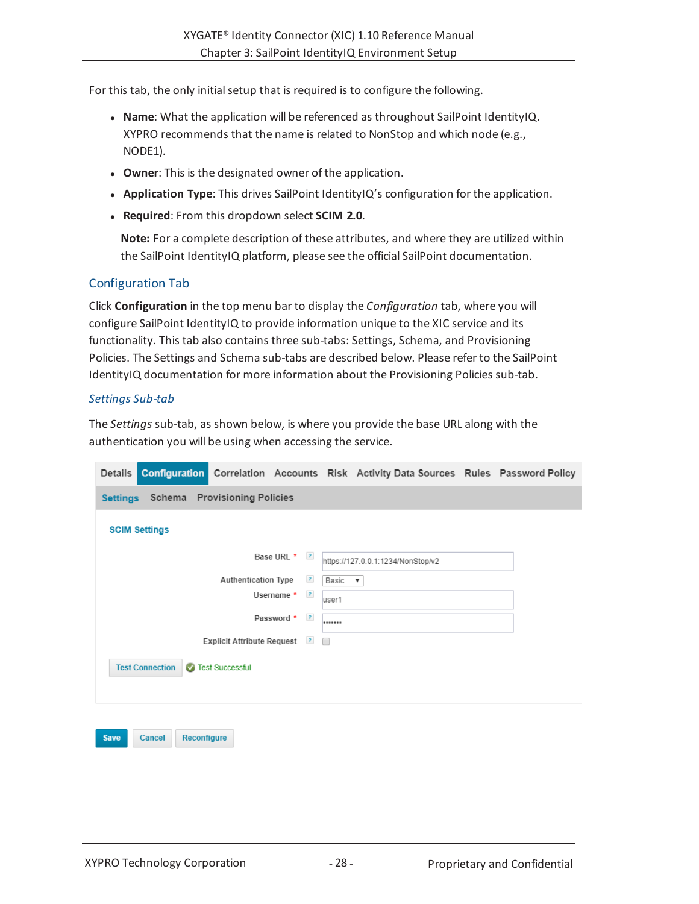For this tab, the only initialsetup that is required is to configure the following.

- **Name:** What the application will be referenced as throughout SailPoint IdentityIQ. XYPRO recommends that the name is related to NonStop and which node (e.g., NODE1).
- **.** Owner: This is the designated owner of the application.
- <sup>l</sup> **Application Type**: This drives SailPoint IdentityIQ's configuration for the application.
- <sup>l</sup> **Required**: From this dropdown select **SCIM 2.0**.

**Note:** For a complete description of these attributes, and where they are utilized within the SailPoint IdentityIQ platform, please see the official SailPoint documentation.

# <span id="page-27-0"></span>Configuration Tab

Click **Configuration** in the top menu bar to display the *Configuration* tab, where you will configure SailPoint IdentityIQ to provide information unique to the XIC service and its functionality. This tab also contains three sub-tabs: Settings, Schema, and Provisioning Policies. The Settings and Schema sub-tabs are described below. Please refer to the SailPoint IdentityIQ documentation for more information about the Provisioning Policies sub-tab.

### *Settings Sub-tab*

The *Settings* sub-tab, as shown below, is where you provide the base URL along with the authentication you will be using when accessing the service.

| Details |                                       |                              |                |       | <b>Configuration</b> Correlation Accounts Risk Activity Data Sources Rules Password Policy |  |
|---------|---------------------------------------|------------------------------|----------------|-------|--------------------------------------------------------------------------------------------|--|
|         | Settings Schema Provisioning Policies |                              |                |       |                                                                                            |  |
|         | <b>SCIM Settings</b>                  |                              |                |       |                                                                                            |  |
|         |                                       |                              | Base URL * ?   |       | https://127.0.0.1:1234/NonStop/v2                                                          |  |
|         |                                       | <b>Authentication Type</b>   | $\mathbf{r}$   | Basic | $\mathbf v$                                                                                |  |
|         |                                       |                              | Username $*$ ? | user1 |                                                                                            |  |
|         |                                       |                              | Password * ?   |       |                                                                                            |  |
|         |                                       | Explicit Attribute Request ? |                |       |                                                                                            |  |
|         | <b>Test Connection</b>                | Test Successful              |                |       |                                                                                            |  |
|         |                                       |                              |                |       |                                                                                            |  |

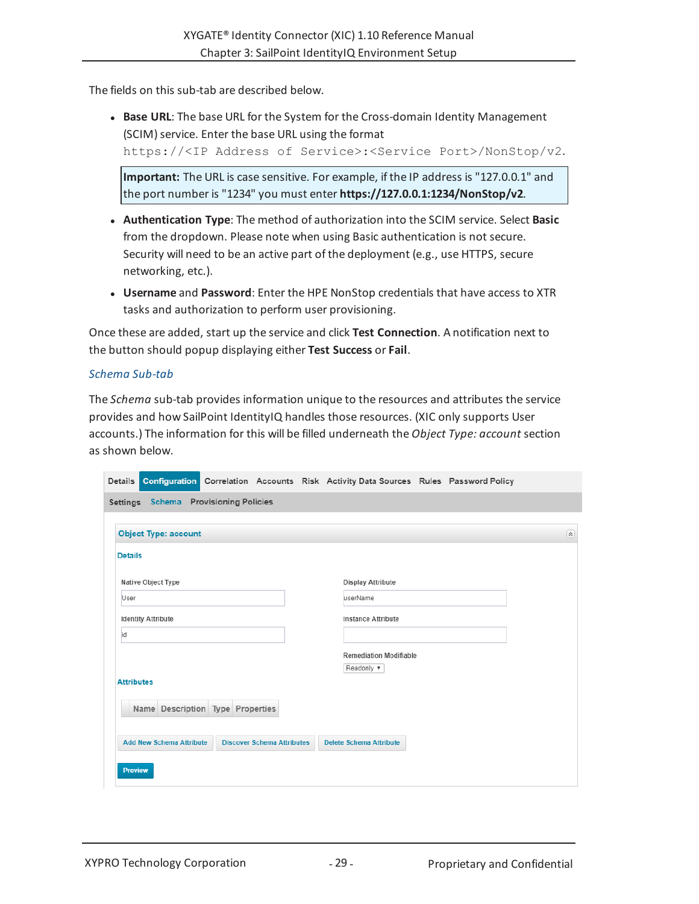The fields on this sub-tab are described below.

<sup>l</sup> **Base URL**: The base URL for the System for the Cross-domain Identity Management (SCIM) service. Enter the base URL using the format https://<IP Address of Service>:<Service Port>/NonStop/v2.

**Important:** The URL is case sensitive. For example, if the IP address is "127.0.0.1" and the port number is "1234" you must enter **https://127.0.0.1:1234/NonStop/v2**.

- <sup>l</sup> **Authentication Type**: The method of authorization into the SCIM service. Select **Basic** from the dropdown. Please note when using Basic authentication is not secure. Security will need to be an active part of the deployment (e.g., use HTTPS, secure networking, etc.).
- **Username** and **Password**: Enter the HPE NonStop credentials that have access to XTR tasks and authorization to perform user provisioning.

Once these are added, start up the service and click **Test Connection**. A notification next to the button should popup displaying either **Test Success** or **Fail**.

### *Schema Sub-tab*

The *Schema* sub-tab provides information unique to the resources and attributes the service provides and how SailPoint IdentityIQ handles those resources. (XIC only supports User accounts.) The information for this will be filled underneath the *Object Type: account* section as shown below.

| Details           |                                       |                                   |  | <b>Configuration</b> Correlation Accounts Risk Activity Data Sources Rules Password Policy |  |                      |
|-------------------|---------------------------------------|-----------------------------------|--|--------------------------------------------------------------------------------------------|--|----------------------|
|                   | Settings Schema Provisioning Policies |                                   |  |                                                                                            |  |                      |
|                   | <b>Object Type: account</b>           |                                   |  |                                                                                            |  | $\boxed{\mathbf{x}}$ |
| <b>Details</b>    |                                       |                                   |  |                                                                                            |  |                      |
|                   | Native Object Type                    |                                   |  | Display Attribute                                                                          |  |                      |
| User              |                                       |                                   |  | userName                                                                                   |  |                      |
|                   | <b>Identity Attribute</b>             |                                   |  | <b>Instance Attribute</b>                                                                  |  |                      |
| id                |                                       |                                   |  |                                                                                            |  |                      |
|                   |                                       |                                   |  | <b>Remediation Modifiable</b>                                                              |  |                      |
| <b>Attributes</b> |                                       |                                   |  | Readonly $\blacktriangledown$                                                              |  |                      |
|                   | Name Description Type Properties      |                                   |  |                                                                                            |  |                      |
|                   | <b>Add New Schema Attribute</b>       | <b>Discover Schema Attributes</b> |  | <b>Delete Schema Attribute</b>                                                             |  |                      |
| <b>Preview</b>    |                                       |                                   |  |                                                                                            |  |                      |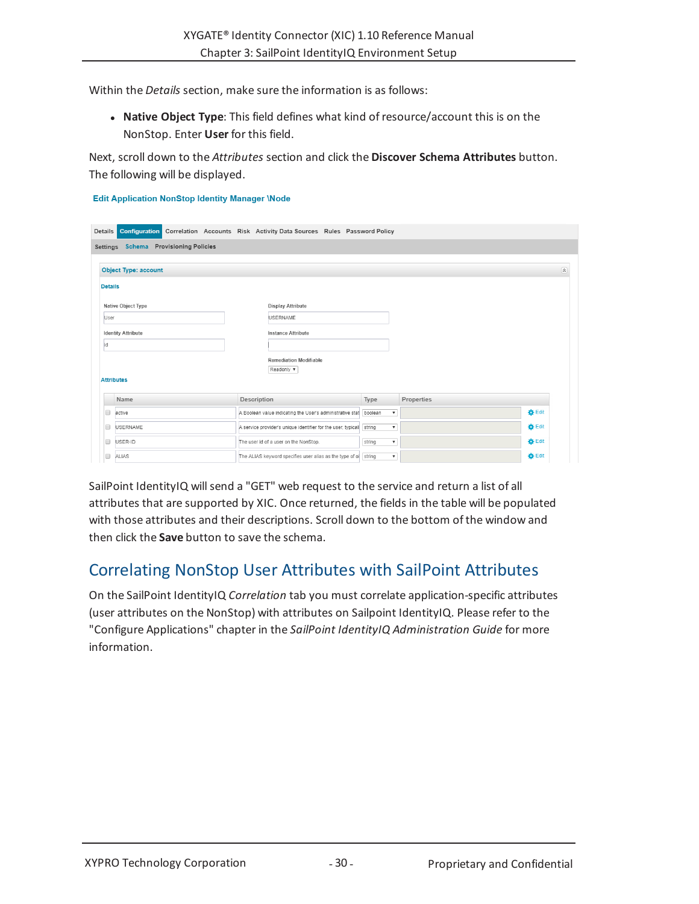Within the *Details* section, make sure the information is as follows:

**· Native Object Type**: This field defines what kind of resource/account this is on the NonStop. Enter **User** for this field.

Next, scroll down to the *Attributes* section and click the **Discover Schema Attributes** button. The following will be displayed.

#### **Edit Application NonStop Identity Manager \Node**

| Details        | <b>Configuration</b>                  | Correlation Accounts Risk Activity Data Sources Rules Password Policy |                                     |            |               |
|----------------|---------------------------------------|-----------------------------------------------------------------------|-------------------------------------|------------|---------------|
|                | Settings Schema Provisioning Policies |                                                                       |                                     |            |               |
|                | <b>Object Type: account</b>           |                                                                       |                                     |            | 図             |
| <b>Details</b> |                                       |                                                                       |                                     |            |               |
|                | Native Object Type                    | Display Attribute                                                     |                                     |            |               |
| User           |                                       | <b>USERNAME</b>                                                       |                                     |            |               |
|                | <b>Identity Attribute</b>             | Instance Attribute                                                    |                                     |            |               |
| id             |                                       |                                                                       |                                     |            |               |
|                |                                       | <b>Remediation Modifiable</b><br>Readonly $\blacktriangledown$        |                                     |            |               |
|                | <b>Attributes</b>                     |                                                                       |                                     |            |               |
|                | Name                                  | Description                                                           | Type                                | Properties |               |
| Г              | active                                | A Boolean value indicating the User's administrative stat boolean     | $\boldsymbol{\mathrm{v}}$           |            | <b>D</b> Edit |
| г              | <b>USERNAME</b>                       | A service provider's unique identifier for the user, typical          | string<br>$\mathbf{v}$              |            | <b>D</b> Edit |
|                | USER-ID                               | The user id of a user on the NonStop.                                 | string<br>$\boldsymbol{\mathrm{v}}$ |            | <b>D</b> Edit |
| C              | ALIAS                                 | The ALIAS keyword specifies user alias as the type of ol string       | $\boldsymbol{\mathrm{v}}$           |            | <b>D</b> Edit |

SailPoint IdentityIQ willsend a "GET" web request to the service and return a list of all attributes that are supported by XIC. Once returned, the fields in the table will be populated with those attributes and their descriptions. Scroll down to the bottom of the window and then click the **Save** button to save the schema.

# <span id="page-29-0"></span>Correlating NonStop User Attributes with SailPoint Attributes

On the SailPoint IdentityIQ *Correlation* tab you must correlate application-specific attributes (user attributes on the NonStop) with attributes on Sailpoint IdentityIQ. Please refer to the "Configure Applications" chapter in the *SailPoint IdentityIQ Administration Guide* for more information.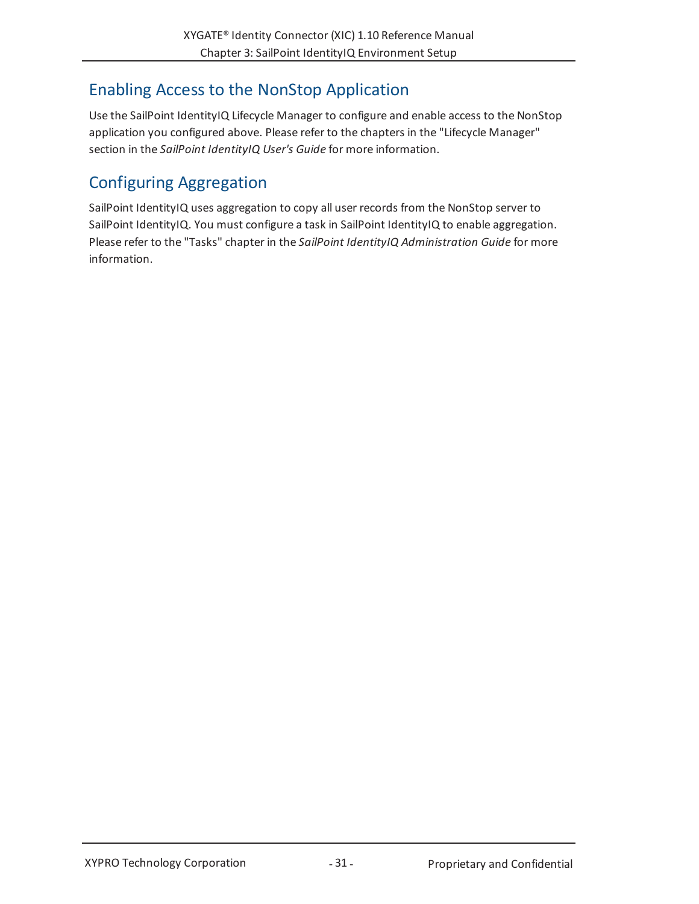# <span id="page-30-0"></span>Enabling Access to the NonStop Application

Use the SailPoint IdentityIQ Lifecycle Manager to configure and enable access to the NonStop application you configured above. Please refer to the chapters in the "Lifecycle Manager" section in the *SailPoint IdentityIQ User's Guide* for more information.

# <span id="page-30-1"></span>Configuring Aggregation

SailPoint IdentityIQ uses aggregation to copy all user records from the NonStop server to SailPoint IdentityIQ. You must configure a task in SailPoint IdentityIQ to enable aggregation. Please refer to the "Tasks" chapter in the *SailPoint IdentityIQ Administration Guide* for more information.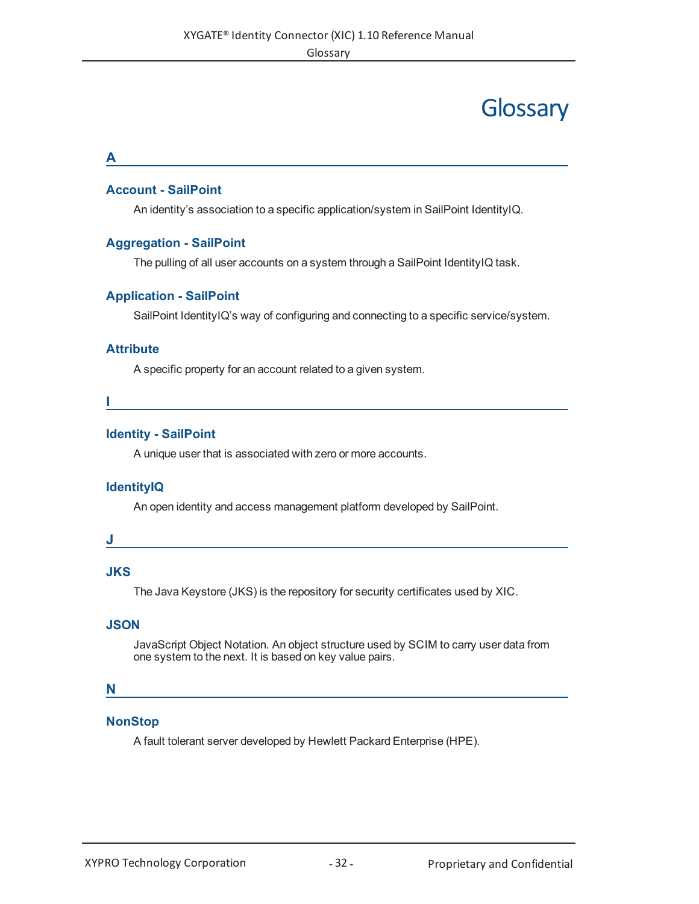# **Glossary**

#### <span id="page-31-0"></span>**A**

## **Account - SailPoint**

An identity's association to a specific application/system in SailPoint IdentityIQ.

## **Aggregation - SailPoint**

The pulling of all user accounts on a system through a SailPoint IdentityIQ task.

# **Application - SailPoint**

SailPoint IdentityIQ's way of configuring and connecting to a specific service/system.

### **Attribute**

A specific property for an account related to a given system.

**I**

### **Identity - SailPoint**

A unique user that is associated with zero or more accounts.

# **IdentityIQ**

An open identity and access management platform developed by SailPoint.

#### **J**

# **JKS**

The Java Keystore (JKS) is the repository for security certificates used by XIC.

### **JSON**

JavaScript Object Notation. An object structure used by SCIM to carry user data from one system to the next. It is based on key value pairs.

### **N**

## **NonStop**

A fault tolerant server developed by Hewlett Packard Enterprise (HPE).